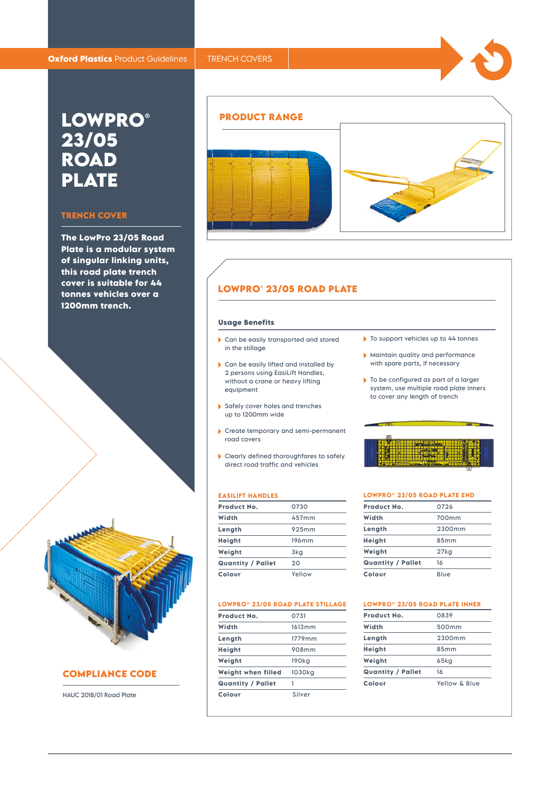# **LOWPRO® 23/05 ROAD PLATE**

### **TRENCH COVER**

**The LowPro 23/05 Road Plate is a modular system of singular linking units, this road plate trench cover is suitable for 44 tonnes vehicles over a 1200mm trench.**



# **COMPLIANCE CODE**

HAUC 2018/01 Road Plate



# **LOWPRO® 23/05 ROAD PLATE**

#### **Usage Benefits**

- Can be easily transported and stored in the stillage
- Can be easily lifted and installed by 2 persons using EasiLift Handles, without a crane or heavy lifting equipment
- Safely cover holes and trenches up to 1200mm wide
- Create temporary and semi-permanent road covers
- Clearly defined thoroughfares to safely direct road traffic and vehicles

#### **EASILIFT HANDLES**

| Product No.              | 0730   |
|--------------------------|--------|
| Width                    | 457mm  |
| Length                   | 925mm  |
| Height                   | 196mm  |
| Weight                   | 3kg    |
| <b>Quantity / Pallet</b> | 20     |
| Colour                   | Yellow |

#### **LOWPRO® 23/05 ROAD PLATE STILLAGE**

| Product No.              | 0731              |
|--------------------------|-------------------|
| Width                    | 1613mm            |
| Length                   | 1779mm            |
| Height                   | 908mm             |
| Weight                   | 190 <sub>kg</sub> |
| Weight when filled       | 1030ka            |
| <b>Quantity / Pallet</b> | 1                 |
| Colour                   | Silver            |
|                          |                   |

- $\triangleright$  To support vehicles up to 44 tonnes
- Maintain quality and performance with spare parts, if necessary
- ▶ To be configured as part of a larger system, use multiple road plate inners to cover any length of trench

#### **LOWPRO® 23/05 ROAD PLATE END**

| Product No.              | 0726    |
|--------------------------|---------|
| Width                    | 700mm   |
| Length                   | 2300mm  |
| Height                   | 85mm    |
| Weight                   | $27k$ g |
| <b>Quantity / Pallet</b> | 16      |
| Colour                   | Blue    |
|                          |         |

# **LOWPRO® 23/05 ROAD PLATE INNER**

| Product No.              | 0839              |
|--------------------------|-------------------|
| Width                    | 500 <sub>mm</sub> |
| Length                   | 2300mm            |
| Height                   | 85mm              |
| Weight                   | 65ka              |
| <b>Quantity / Pallet</b> | 16                |
| Colour                   | Yellow & Blue     |